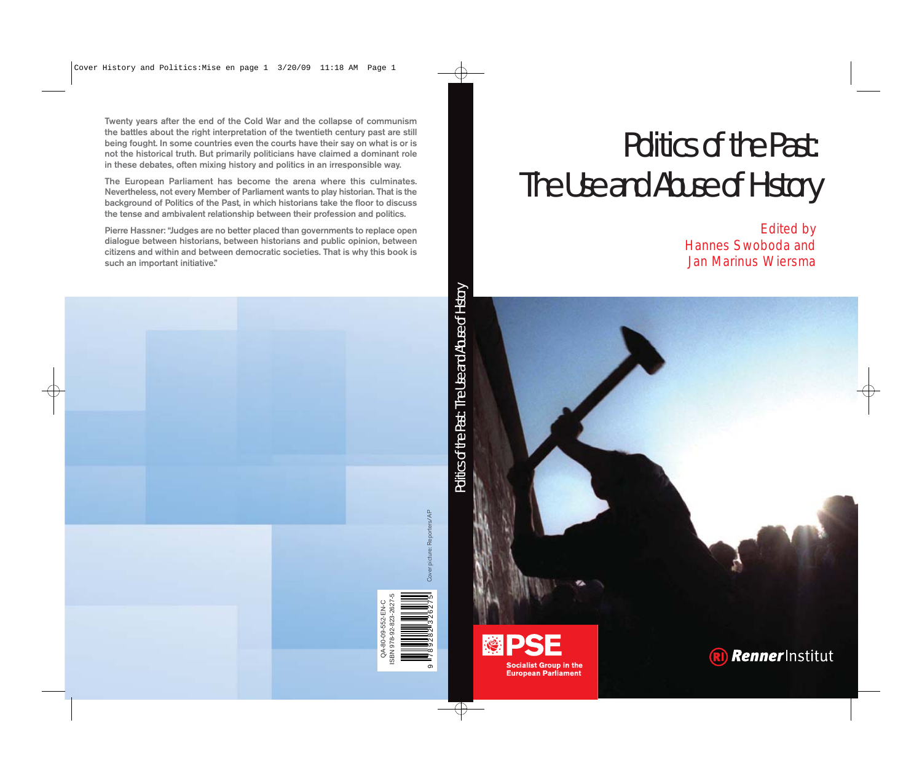**Twenty years after the end of the Cold War and the collapse of communism the battles about the right interpretation of the twentieth century past are still being fought. In some countries even the courts have their say on what is or is not the historical truth. But primarily politicians have claimed a dominant role in these debates, often mixing history and politics in an irresponsible way.**

**The European Parliament has become the arena where this culminates. Nevertheless, not every Member of Parliament wants to play historian. That is the background of Politics of the Past, in which historians take the floor to discuss the tense and ambivalent relationship between their profession and politics.**

**Pierre Hassner: "Judges are no better placed than governments to replace open dialogue between historians, between historians and public opinion, between citizens and within and between democratic societies. That is why this book is such an important initiative."**

# Politics of the Past: The Use and Abuse of History

Edited by Hannes Swoboda and Jan Marinus Wiersma



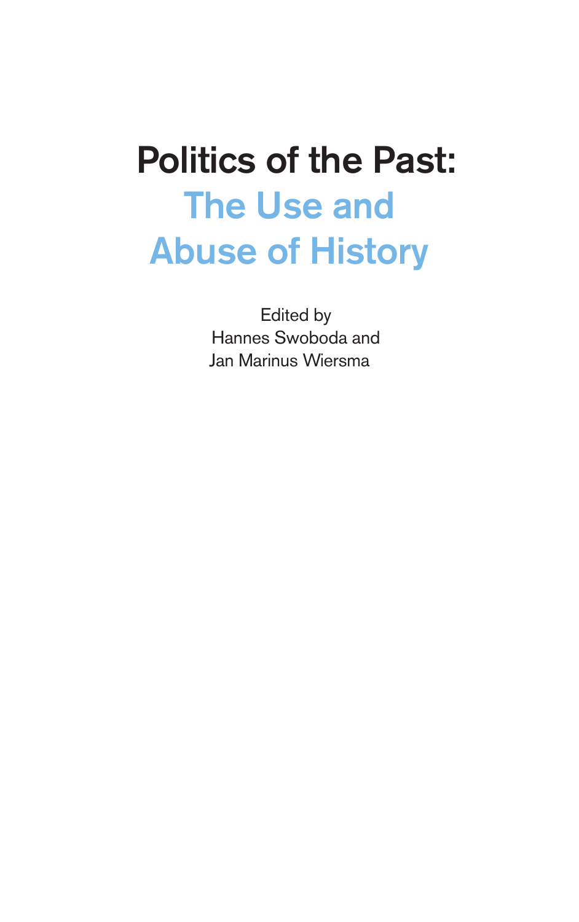# **Politics of the Past: The Use and Abuse of History**

Edited by Hannes Swoboda and Jan Marinus Wiersma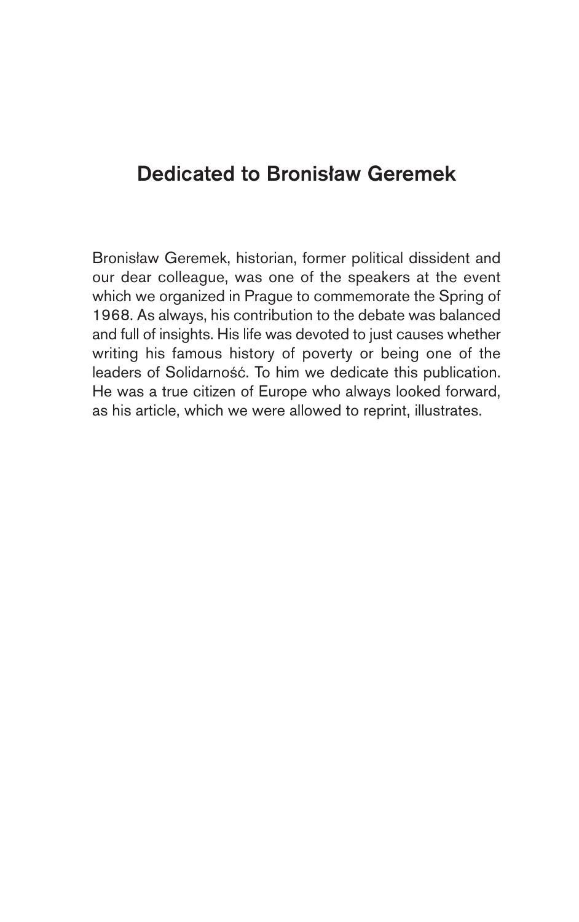## **Dedicated to Bronisław Geremek**

Bronisław Geremek, historian, former political dissident and our dear colleague, was one of the speakers at the event which we organized in Prague to commemorate the Spring of 1968. As always, his contribution to the debate was balanced and full of insights. His life was devoted to just causes whether writing his famous history of poverty or being one of the leaders of Solidarność. To him we dedicate this publication. He was a true citizen of Europe who always looked forward, as his article, which we were allowed to reprint, illustrates.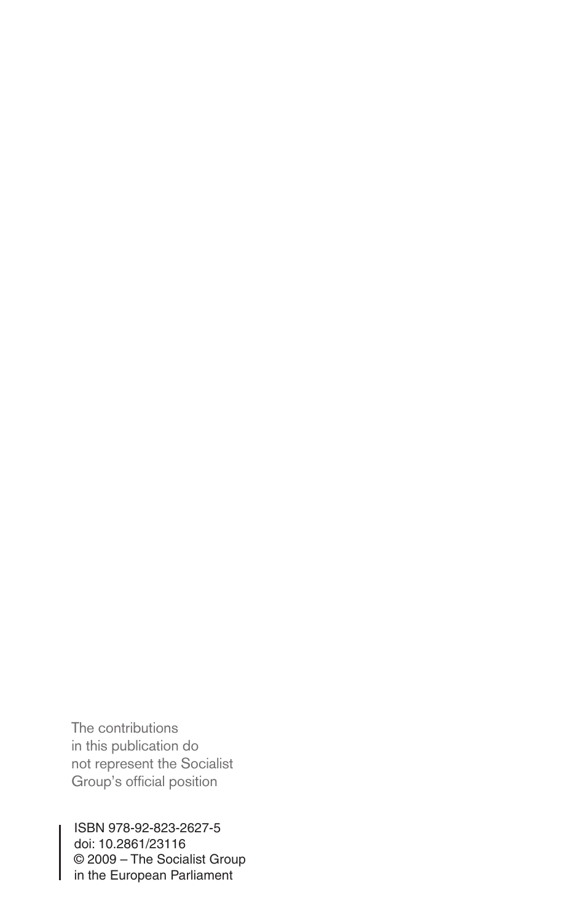The contributions in this publication do not represent the Socialist Group's official position

ISBN 978-92-823-2627-5 doi: 10.2861/23116 © 2009 – The Socialist Group in the European Parliament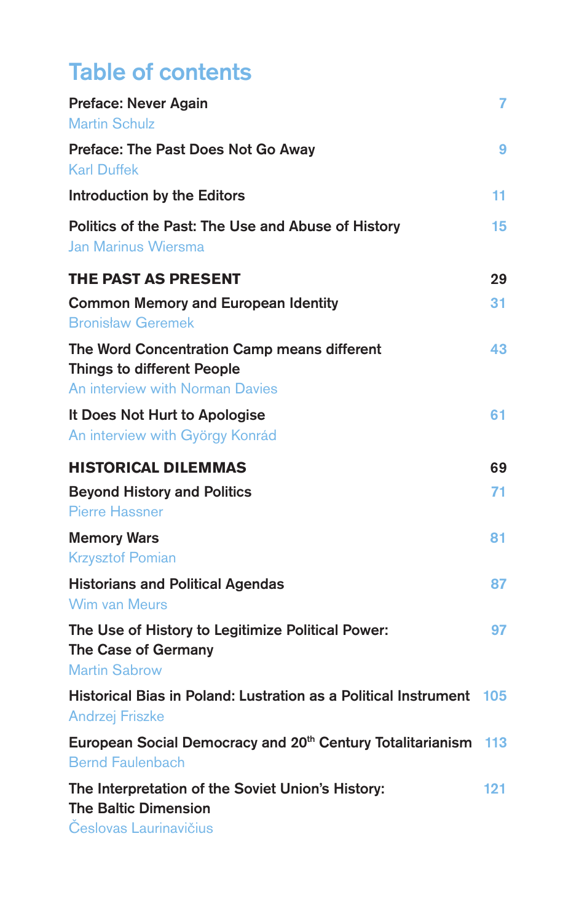# **Table of contents**

| <b>Preface: Never Again</b><br><b>Martin Schulz</b>                                                                 | 7   |
|---------------------------------------------------------------------------------------------------------------------|-----|
| Preface: The Past Does Not Go Away<br><b>Karl Duffek</b>                                                            | 9   |
| Introduction by the Editors                                                                                         | 11. |
| Politics of the Past: The Use and Abuse of History<br>Jan Marinus Wiersma                                           | 15  |
| <b>THE PAST AS PRESENT</b>                                                                                          | 29  |
| <b>Common Memory and European Identity</b><br><b>Bronisław Geremek</b>                                              | 31  |
| The Word Concentration Camp means different<br><b>Things to different People</b><br>An interview with Norman Davies | 43  |
| It Does Not Hurt to Apologise<br>An interview with György Konrád                                                    | 61  |
| <b>HISTORICAL DILEMMAS</b>                                                                                          | 69  |
| <b>Beyond History and Politics</b><br><b>Pierre Hassner</b>                                                         | 71  |
| <b>Memory Wars</b>                                                                                                  | 81  |
| <b>Krzysztof Pomian</b>                                                                                             |     |
| <b>Historians and Political Agendas</b><br>Wim van Meurs                                                            | 87  |
| The Use of History to Legitimize Political Power:<br>The Case of Germany<br><b>Martin Sabrow</b>                    | 97  |
| Historical Bias in Poland: Lustration as a Political Instrument 105<br><b>Andrzej Friszke</b>                       |     |
| European Social Democracy and 20 <sup>th</sup> Century Totalitarianism 113<br><b>Bernd Faulenbach</b>               |     |
| The Interpretation of the Soviet Union's History:<br><b>The Baltic Dimension</b><br>Česlovas Laurinavičius          | 121 |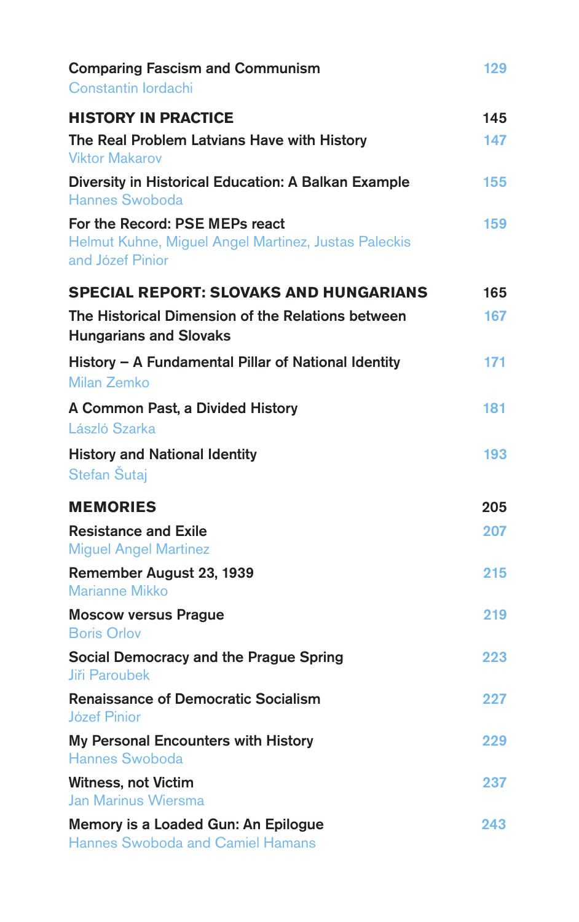| <b>Comparing Fascism and Communism</b><br>Constantin lordachi                                              | 129 |
|------------------------------------------------------------------------------------------------------------|-----|
| <b>HISTORY IN PRACTICE</b>                                                                                 | 145 |
| The Real Problem Latvians Have with History<br><b>Viktor Makarov</b>                                       | 147 |
| Diversity in Historical Education: A Balkan Example<br>Hannes Swoboda                                      | 155 |
| For the Record: PSE MEPs react<br>Helmut Kuhne, Miguel Angel Martinez, Justas Paleckis<br>and Józef Pinior | 159 |
| <b>SPECIAL REPORT: SLOVAKS AND HUNGARIANS</b>                                                              | 165 |
| The Historical Dimension of the Relations between<br><b>Hungarians and Slovaks</b>                         | 167 |
| History - A Fundamental Pillar of National Identity<br>Milan Zemko                                         | 171 |
| A Common Past, a Divided History<br>László Szarka                                                          | 181 |
| <b>History and National Identity</b><br>Stefan Šutaj                                                       | 193 |
| <b>MEMORIES</b>                                                                                            | 205 |
| <b>Resistance and Exile</b><br><b>Miguel Angel Martinez</b>                                                | 207 |
| Remember August 23, 1939<br><b>Marianne Mikko</b>                                                          | 215 |
| <b>Moscow versus Prague</b><br><b>Boris Orlov</b>                                                          | 219 |
| Social Democracy and the Prague Spring<br><b>Jiři Paroubek</b>                                             | 223 |
| <b>Renaissance of Democratic Socialism</b><br>Józef Pinior                                                 | 227 |
| My Personal Encounters with History<br>Hannes Swoboda                                                      | 229 |
| <b>Witness, not Victim</b><br>Jan Marinus Wiersma                                                          | 237 |
| Memory is a Loaded Gun: An Epilogue<br><b>Hannes Swoboda and Camiel Hamans</b>                             | 243 |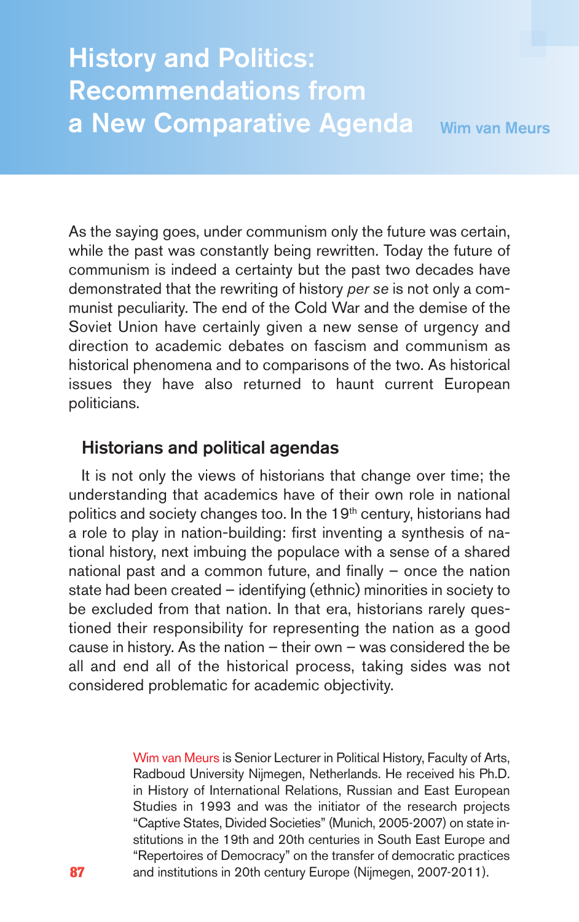# **History and Politics: Recommendations from a New Comparative Agenda Wim van Meurs**

As the saying goes, under communism only the future was certain, while the past was constantly being rewritten. Today the future of communism is indeed a certainty but the past two decades have demonstrated that the rewriting of history per se is not only a communist peculiarity. The end of the Cold War and the demise of the Soviet Union have certainly given a new sense of urgency and direction to academic debates on fascism and communism as historical phenomena and to comparisons of the two. As historical issues they have also returned to haunt current European politicians.

#### **Historians and political agendas**

It is not only the views of historians that change over time; the understanding that academics have of their own role in national politics and society changes too. In the 19<sup>th</sup> century, historians had a role to play in nation-building: first inventing a synthesis of national history, next imbuing the populace with a sense of a shared national past and a common future, and finally – once the nation state had been created – identifying (ethnic) minorities in society to be excluded from that nation. In that era, historians rarely questioned their responsibility for representing the nation as a good cause in history. As the nation  $-$  their own  $-$  was considered the be all and end all of the historical process, taking sides was not considered problematic for academic objectivity.

> Wim van Meurs is Senior Lecturer in Political History, Faculty of Arts, Radboud University Nijmegen, Netherlands. He received his Ph.D. in History of International Relations, Russian and East European Studies in 1993 and was the initiator of the research projects "Captive States, Divided Societies" (Munich, 2005-2007) on state institutions in the 19th and 20th centuries in South East Europe and "Repertoires of Democracy" on the transfer of democratic practices and institutions in 20th century Europe (Nijmegen, 2007-2011).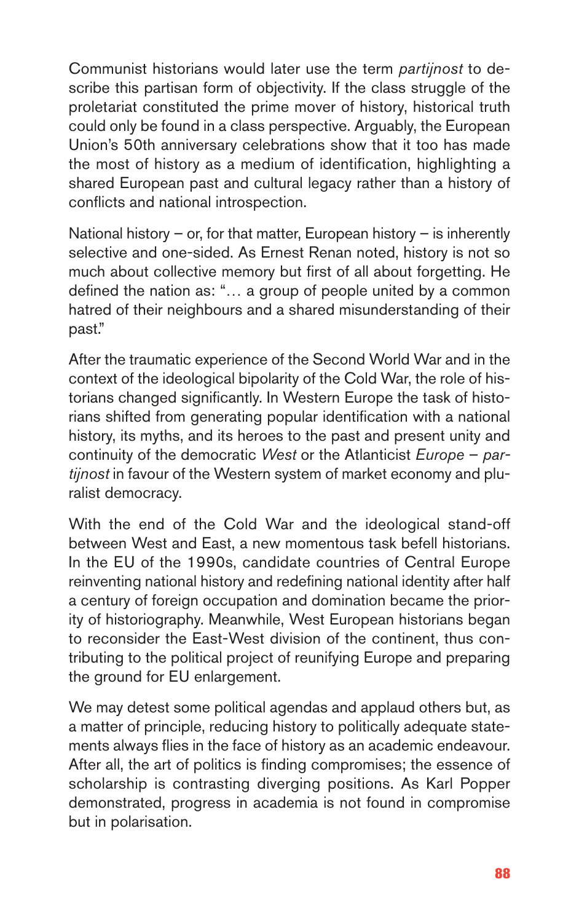Communist historians would later use the term partijnost to describe this partisan form of objectivity. If the class struggle of the proletariat constituted the prime mover of history, historical truth could only be found in a class perspective. Arguably, the European Union's 50th anniversary celebrations show that it too has made the most of history as a medium of identification, highlighting a shared European past and cultural legacy rather than a history of conflicts and national introspection.

National history – or, for that matter, European history – is inherently selective and one-sided. As Ernest Renan noted, history is not so much about collective memory but first of all about forgetting. He defined the nation as: "… a group of people united by a common hatred of their neighbours and a shared misunderstanding of their past."

After the traumatic experience of the Second World War and in the context of the ideological bipolarity of the Cold War, the role of historians changed significantly. In Western Europe the task of historians shifted from generating popular identification with a national history, its myths, and its heroes to the past and present unity and continuity of the democratic West or the Atlanticist Europe – partijnost in favour of the Western system of market economy and pluralist democracy.

With the end of the Cold War and the ideological stand-off between West and East, a new momentous task befell historians. In the EU of the 1990s, candidate countries of Central Europe reinventing national history and redefining national identity after half a century of foreign occupation and domination became the priority of historiography. Meanwhile, West European historians began to reconsider the East-West division of the continent, thus contributing to the political project of reunifying Europe and preparing the ground for EU enlargement.

We may detest some political agendas and applaud others but, as a matter of principle, reducing history to politically adequate statements always flies in the face of history as an academic endeavour. After all, the art of politics is finding compromises; the essence of scholarship is contrasting diverging positions. As Karl Popper demonstrated, progress in academia is not found in compromise but in polarisation.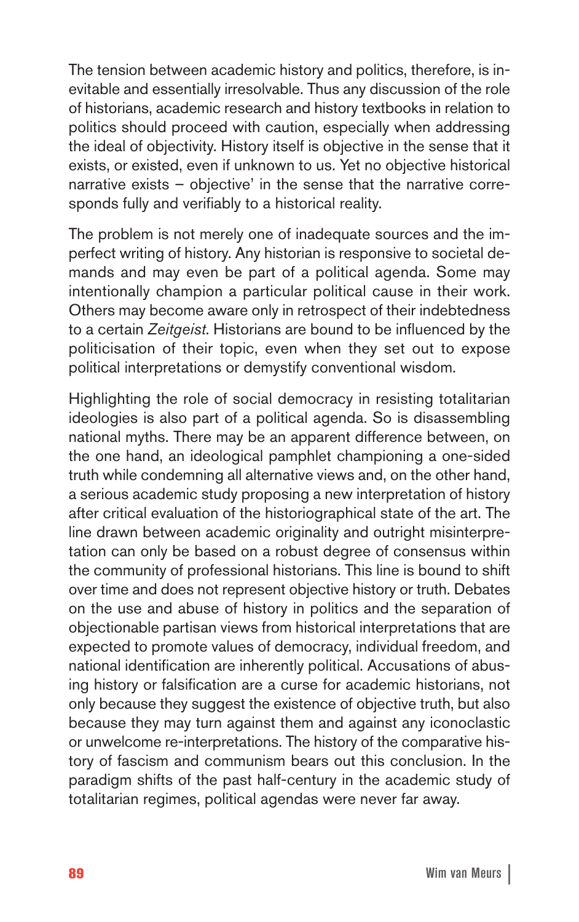The tension between academic history and politics, therefore, is inevitable and essentially irresolvable. Thus any discussion of the role of historians, academic research and history textbooks in relation to politics should proceed with caution, especially when addressing the ideal of objectivity. History itself is objective in the sense that it exists, or existed, even if unknown to us. Yet no objective historical narrative exists – objective' in the sense that the narrative corresponds fully and verifiably to a historical reality.

The problem is not merely one of inadequate sources and the imperfect writing of history. Any historian is responsive to societal demands and may even be part of a political agenda. Some may intentionally champion a particular political cause in their work. Others may become aware only in retrospect of their indebtedness to a certain Zeitgeist. Historians are bound to be influenced by the politicisation of their topic, even when they set out to expose political interpretations or demystify conventional wisdom.

Highlighting the role of social democracy in resisting totalitarian ideologies is also part of a political agenda. So is disassembling national myths. There may be an apparent difference between, on the one hand, an ideological pamphlet championing a one-sided truth while condemning all alternative views and, on the other hand, a serious academic study proposing a new interpretation of history after critical evaluation of the historiographical state of the art. The line drawn between academic originality and outright misinterpretation can only be based on a robust degree of consensus within the community of professional historians. This line is bound to shift over time and does not represent objective history or truth. Debates on the use and abuse of history in politics and the separation of objectionable partisan views from historical interpretations that are expected to promote values of democracy, individual freedom, and national identification are inherently political. Accusations of abusing history or falsification are a curse for academic historians, not only because they suggest the existence of objective truth, but also because they may turn against them and against any iconoclastic or unwelcome re-interpretations. The history of the comparative history of fascism and communism bears out this conclusion. In the paradigm shifts of the past half-century in the academic study of totalitarian regimes, political agendas were never far away.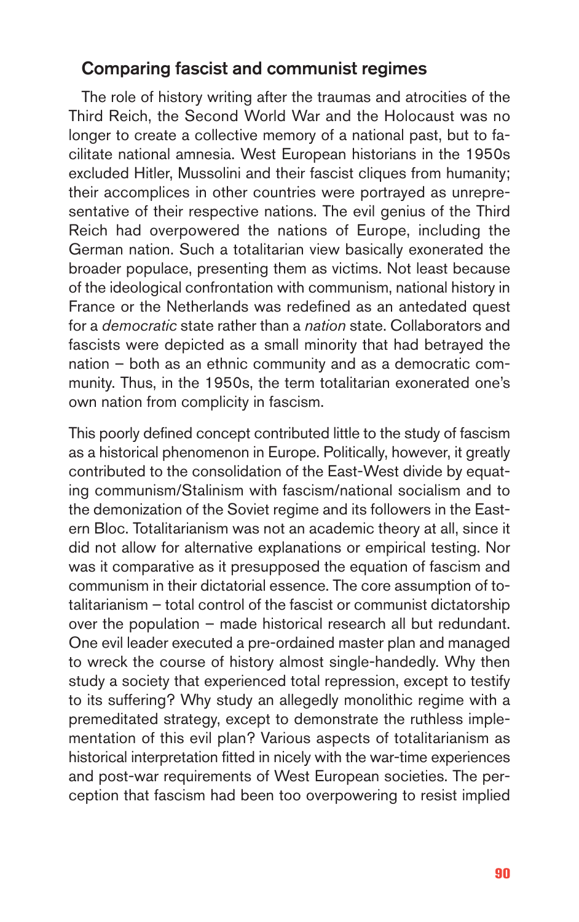#### **Comparing fascist and communist regimes**

The role of history writing after the traumas and atrocities of the Third Reich, the Second World War and the Holocaust was no longer to create a collective memory of a national past, but to facilitate national amnesia. West European historians in the 1950s excluded Hitler, Mussolini and their fascist cliques from humanity; their accomplices in other countries were portrayed as unrepresentative of their respective nations. The evil genius of the Third Reich had overpowered the nations of Europe, including the German nation. Such a totalitarian view basically exonerated the broader populace, presenting them as victims. Not least because of the ideological confrontation with communism, national history in France or the Netherlands was redefined as an antedated quest for a democratic state rather than a nation state. Collaborators and fascists were depicted as a small minority that had betrayed the nation – both as an ethnic community and as a democratic community. Thus, in the 1950s, the term totalitarian exonerated one's own nation from complicity in fascism.

This poorly defined concept contributed little to the study of fascism as a historical phenomenon in Europe. Politically, however, it greatly contributed to the consolidation of the East-West divide by equating communism/Stalinism with fascism/national socialism and to the demonization of the Soviet regime and its followers in the Eastern Bloc. Totalitarianism was not an academic theory at all, since it did not allow for alternative explanations or empirical testing. Nor was it comparative as it presupposed the equation of fascism and communism in their dictatorial essence. The core assumption of totalitarianism – total control of the fascist or communist dictatorship over the population – made historical research all but redundant. One evil leader executed a pre-ordained master plan and managed to wreck the course of history almost single-handedly. Why then study a society that experienced total repression, except to testify to its suffering? Why study an allegedly monolithic regime with a premeditated strategy, except to demonstrate the ruthless implementation of this evil plan? Various aspects of totalitarianism as historical interpretation fitted in nicely with the war-time experiences and post-war requirements of West European societies. The perception that fascism had been too overpowering to resist implied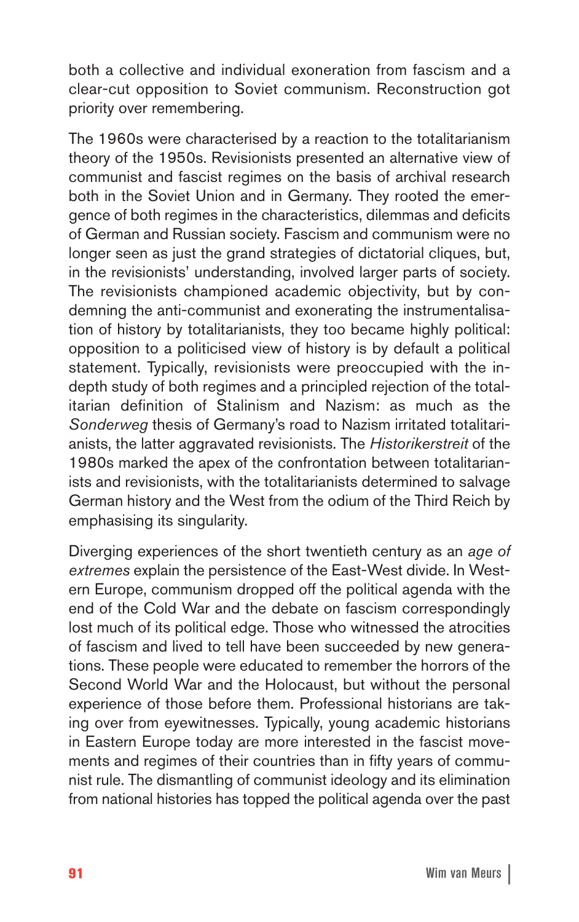both a collective and individual exoneration from fascism and a clear-cut opposition to Soviet communism. Reconstruction got priority over remembering.

The 1960s were characterised by a reaction to the totalitarianism theory of the 1950s. Revisionists presented an alternative view of communist and fascist regimes on the basis of archival research both in the Soviet Union and in Germany. They rooted the emergence of both regimes in the characteristics, dilemmas and deficits of German and Russian society. Fascism and communism were no longer seen as just the grand strategies of dictatorial cliques, but, in the revisionists' understanding, involved larger parts of society. The revisionists championed academic objectivity, but by condemning the anti-communist and exonerating the instrumentalisation of history by totalitarianists, they too became highly political: opposition to a politicised view of history is by default a political statement. Typically, revisionists were preoccupied with the indepth study of both regimes and a principled rejection of the totalitarian definition of Stalinism and Nazism: as much as the Sonderweg thesis of Germany's road to Nazism irritated totalitarianists, the latter aggravated revisionists. The Historikerstreit of the 1980s marked the apex of the confrontation between totalitarianists and revisionists, with the totalitarianists determined to salvage German history and the West from the odium of the Third Reich by emphasising its singularity.

Diverging experiences of the short twentieth century as an age of extremes explain the persistence of the East-West divide. In Western Europe, communism dropped off the political agenda with the end of the Cold War and the debate on fascism correspondingly lost much of its political edge. Those who witnessed the atrocities of fascism and lived to tell have been succeeded by new generations. These people were educated to remember the horrors of the Second World War and the Holocaust, but without the personal experience of those before them. Professional historians are taking over from eyewitnesses. Typically, young academic historians in Eastern Europe today are more interested in the fascist movements and regimes of their countries than in fifty years of communist rule. The dismantling of communist ideology and its elimination from national histories has topped the political agenda over the past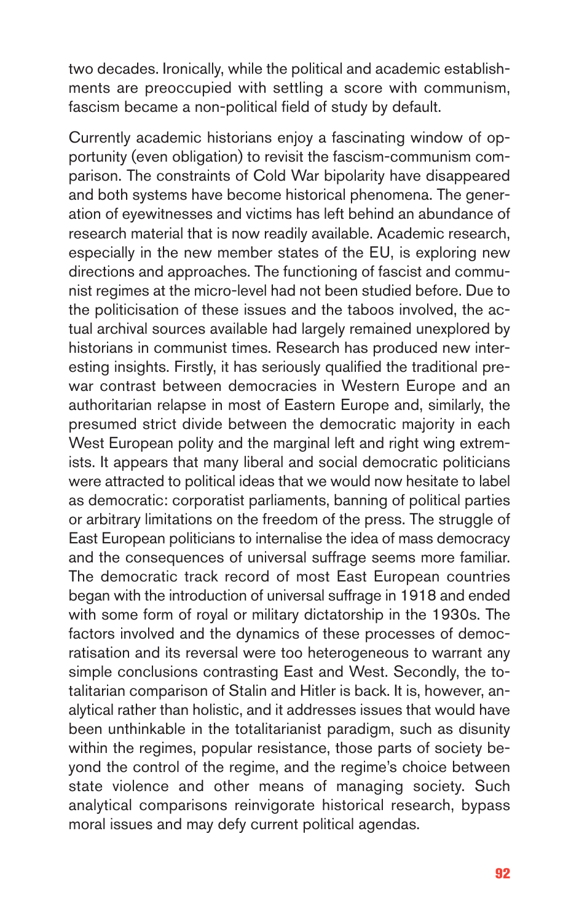two decades. Ironically, while the political and academic establishments are preoccupied with settling a score with communism, fascism became a non-political field of study by default.

Currently academic historians enjoy a fascinating window of opportunity (even obligation) to revisit the fascism-communism comparison. The constraints of Cold War bipolarity have disappeared and both systems have become historical phenomena. The generation of eyewitnesses and victims has left behind an abundance of research material that is now readily available. Academic research, especially in the new member states of the EU, is exploring new directions and approaches. The functioning of fascist and communist regimes at the micro-level had not been studied before. Due to the politicisation of these issues and the taboos involved, the actual archival sources available had largely remained unexplored by historians in communist times. Research has produced new interesting insights. Firstly, it has seriously qualified the traditional prewar contrast between democracies in Western Europe and an authoritarian relapse in most of Eastern Europe and, similarly, the presumed strict divide between the democratic majority in each West European polity and the marginal left and right wing extremists. It appears that many liberal and social democratic politicians were attracted to political ideas that we would now hesitate to label as democratic: corporatist parliaments, banning of political parties or arbitrary limitations on the freedom of the press. The struggle of East European politicians to internalise the idea of mass democracy and the consequences of universal suffrage seems more familiar. The democratic track record of most East European countries began with the introduction of universal suffrage in 1918 and ended with some form of royal or military dictatorship in the 1930s. The factors involved and the dynamics of these processes of democratisation and its reversal were too heterogeneous to warrant any simple conclusions contrasting East and West. Secondly, the totalitarian comparison of Stalin and Hitler is back. It is, however, analytical rather than holistic, and it addresses issues that would have been unthinkable in the totalitarianist paradigm, such as disunity within the regimes, popular resistance, those parts of society beyond the control of the regime, and the regime's choice between state violence and other means of managing society. Such analytical comparisons reinvigorate historical research, bypass moral issues and may defy current political agendas.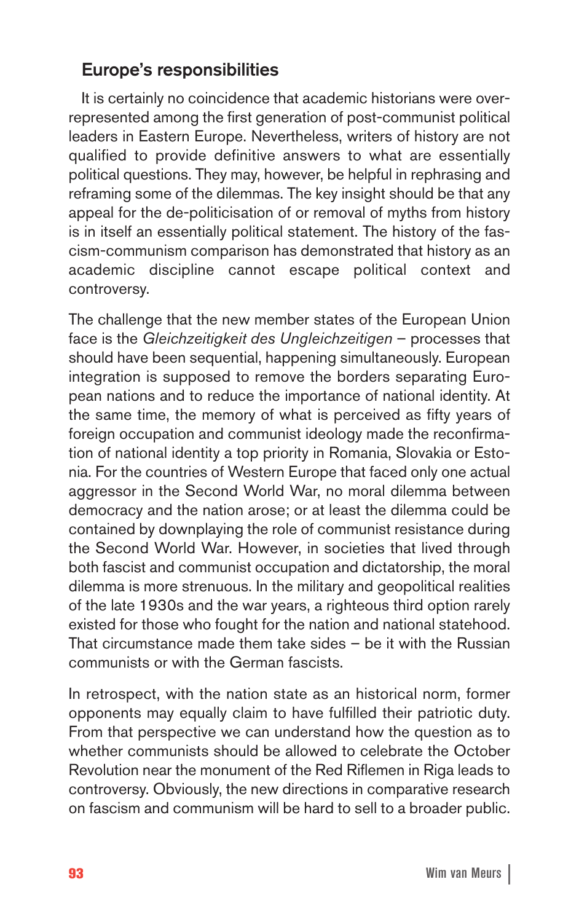### **Europe's responsibilities**

It is certainly no coincidence that academic historians were overrepresented among the first generation of post-communist political leaders in Eastern Europe. Nevertheless, writers of history are not qualified to provide definitive answers to what are essentially political questions. They may, however, be helpful in rephrasing and reframing some of the dilemmas. The key insight should be that any appeal for the de-politicisation of or removal of myths from history is in itself an essentially political statement. The history of the fascism-communism comparison has demonstrated that history as an academic discipline cannot escape political context and controversy.

The challenge that the new member states of the European Union face is the Gleichzeitigkeit des Ungleichzeitigen – processes that should have been sequential, happening simultaneously. European integration is supposed to remove the borders separating European nations and to reduce the importance of national identity. At the same time, the memory of what is perceived as fifty years of foreign occupation and communist ideology made the reconfirmation of national identity a top priority in Romania, Slovakia or Estonia. For the countries of Western Europe that faced only one actual aggressor in the Second World War, no moral dilemma between democracy and the nation arose; or at least the dilemma could be contained by downplaying the role of communist resistance during the Second World War. However, in societies that lived through both fascist and communist occupation and dictatorship, the moral dilemma is more strenuous. In the military and geopolitical realities of the late 1930s and the war years, a righteous third option rarely existed for those who fought for the nation and national statehood. That circumstance made them take sides – be it with the Russian communists or with the German fascists.

In retrospect, with the nation state as an historical norm, former opponents may equally claim to have fulfilled their patriotic duty. From that perspective we can understand how the question as to whether communists should be allowed to celebrate the October Revolution near the monument of the Red Riflemen in Riga leads to controversy. Obviously, the new directions in comparative research on fascism and communism will be hard to sell to a broader public.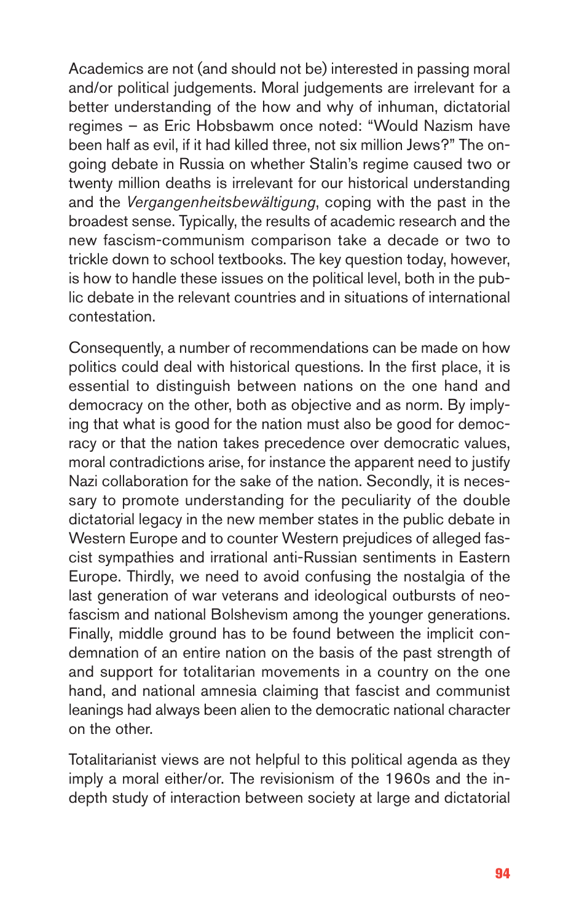Academics are not (and should not be) interested in passing moral and/or political judgements. Moral judgements are irrelevant for a better understanding of the how and why of inhuman, dictatorial regimes – as Eric Hobsbawm once noted: "Would Nazism have been half as evil, if it had killed three, not six million Jews?" The ongoing debate in Russia on whether Stalin's regime caused two or twenty million deaths is irrelevant for our historical understanding and the Vergangenheitsbewältigung, coping with the past in the broadest sense. Typically, the results of academic research and the new fascism-communism comparison take a decade or two to trickle down to school textbooks. The key question today, however, is how to handle these issues on the political level, both in the public debate in the relevant countries and in situations of international contestation.

Consequently, a number of recommendations can be made on how politics could deal with historical questions. In the first place, it is essential to distinguish between nations on the one hand and democracy on the other, both as objective and as norm. By implying that what is good for the nation must also be good for democracy or that the nation takes precedence over democratic values, moral contradictions arise, for instance the apparent need to justify Nazi collaboration for the sake of the nation. Secondly, it is necessary to promote understanding for the peculiarity of the double dictatorial legacy in the new member states in the public debate in Western Europe and to counter Western prejudices of alleged fascist sympathies and irrational anti-Russian sentiments in Eastern Europe. Thirdly, we need to avoid confusing the nostalgia of the last generation of war veterans and ideological outbursts of neofascism and national Bolshevism among the younger generations. Finally, middle ground has to be found between the implicit condemnation of an entire nation on the basis of the past strength of and support for totalitarian movements in a country on the one hand, and national amnesia claiming that fascist and communist leanings had always been alien to the democratic national character on the other.

Totalitarianist views are not helpful to this political agenda as they imply a moral either/or. The revisionism of the 1960s and the indepth study of interaction between society at large and dictatorial